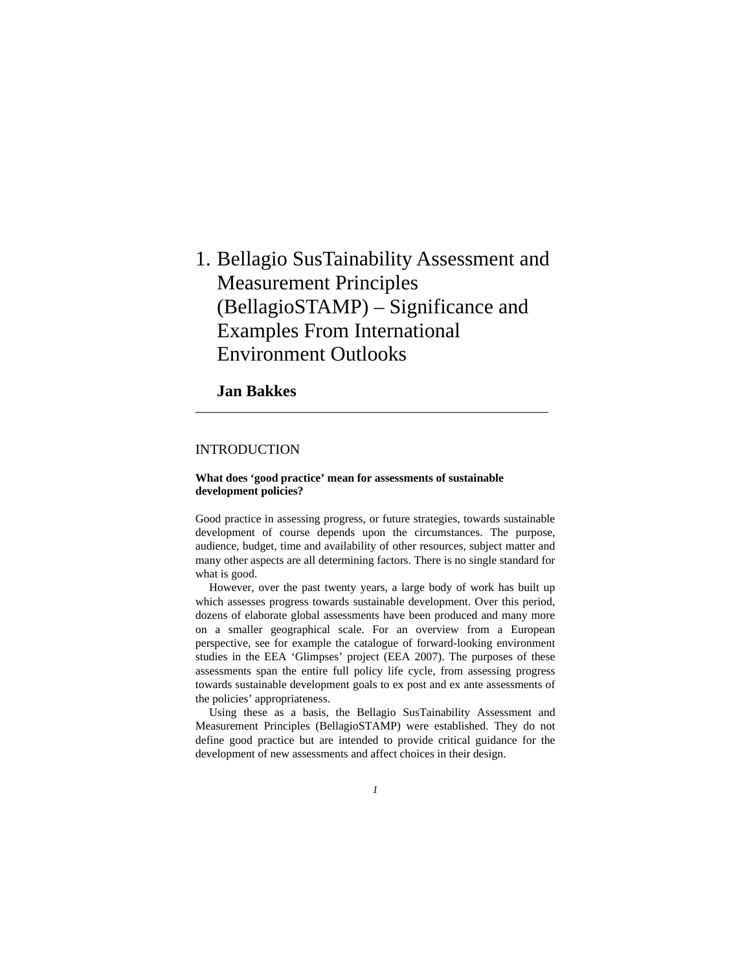# 1. Bellagio SusTainability Assessment and Measurement Principles (BellagioSTAMP) – Significance and Examples From International Environment Outlooks

\_\_\_\_\_\_\_\_\_\_\_\_\_\_\_\_\_\_\_\_\_\_\_\_\_\_\_\_\_\_\_\_\_\_\_\_\_\_\_\_\_\_\_\_\_\_\_\_\_\_\_

# **Jan Bakkes**

#### INTRODUCTION

#### **What does 'good practice' mean for assessments of sustainable development policies?**

Good practice in assessing progress, or future strategies, towards sustainable development of course depends upon the circumstances. The purpose, audience, budget, time and availability of other resources, subject matter and many other aspects are all determining factors. There is no single standard for what is good.

However, over the past twenty years, a large body of work has built up which assesses progress towards sustainable development. Over this period, dozens of elaborate global assessments have been produced and many more on a smaller geographical scale. For an overview from a European perspective, see for example the catalogue of forward-looking environment studies in the EEA 'Glimpses' project (EEA 2007). The purposes of these assessments span the entire full policy life cycle, from assessing progress towards sustainable development goals to ex post and ex ante assessments of the policies' appropriateness.

Using these as a basis, the Bellagio SusTainability Assessment and Measurement Principles (BellagioSTAMP) were established. They do not define good practice but are intended to provide critical guidance for the development of new assessments and affect choices in their design.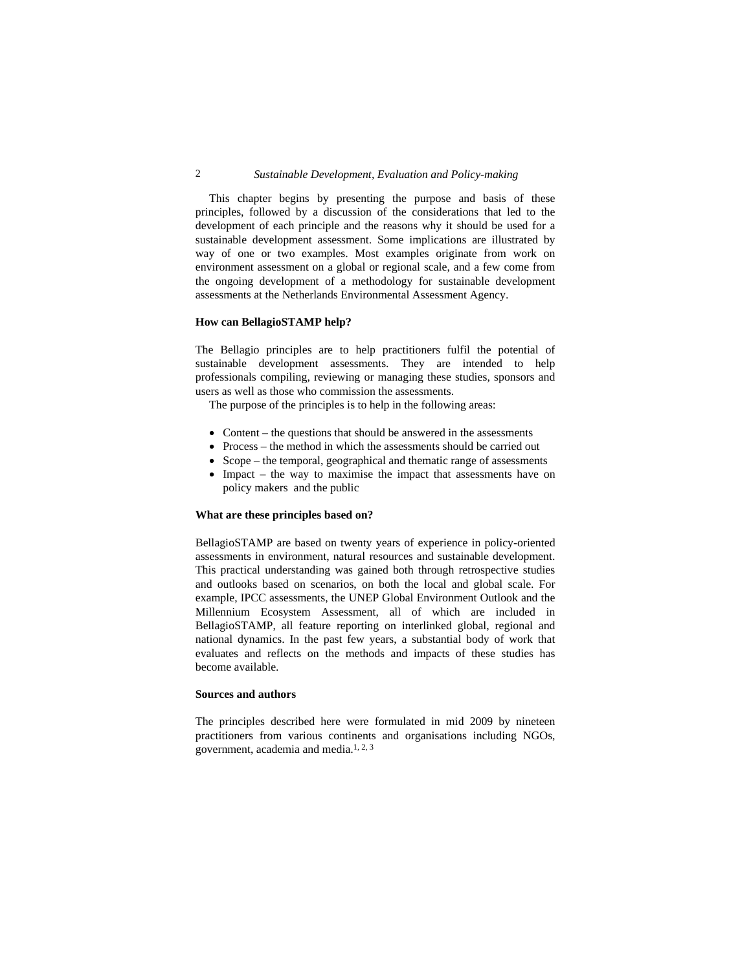This chapter begins by presenting the purpose and basis of these principles, followed by a discussion of the considerations that led to the development of each principle and the reasons why it should be used for a sustainable development assessment. Some implications are illustrated by way of one or two examples. Most examples originate from work on environment assessment on a global or regional scale, and a few come from the ongoing development of a methodology for sustainable development assessments at the Netherlands Environmental Assessment Agency.

#### **How can BellagioSTAMP help?**

The Bellagio principles are to help practitioners fulfil the potential of sustainable development assessments. They are intended to help professionals compiling, reviewing or managing these studies, sponsors and users as well as those who commission the assessments.

The purpose of the principles is to help in the following areas:

- Content the questions that should be answered in the assessments
- Process the method in which the assessments should be carried out
- Scope the temporal, geographical and thematic range of assessments
- Impact the way to maximise the impact that assessments have on policy makers and the public

#### **What are these principles based on?**

BellagioSTAMP are based on twenty years of experience in policy-oriented assessments in environment, natural resources and sustainable development. This practical understanding was gained both through retrospective studies and outlooks based on scenarios, on both the local and global scale. For example, IPCC assessments, the UNEP Global Environment Outlook and the Millennium Ecosystem Assessment, all of which are included in BellagioSTAMP, all feature reporting on interlinked global, regional and national dynamics. In the past few years, a substantial body of work that evaluates and reflects on the methods and impacts of these studies has become available.

## **Sources and authors**

The principles described here were formulated in mid 2009 by nineteen practitioners from various continents and organisations including NGOs, government, academia and media.1, 2, 3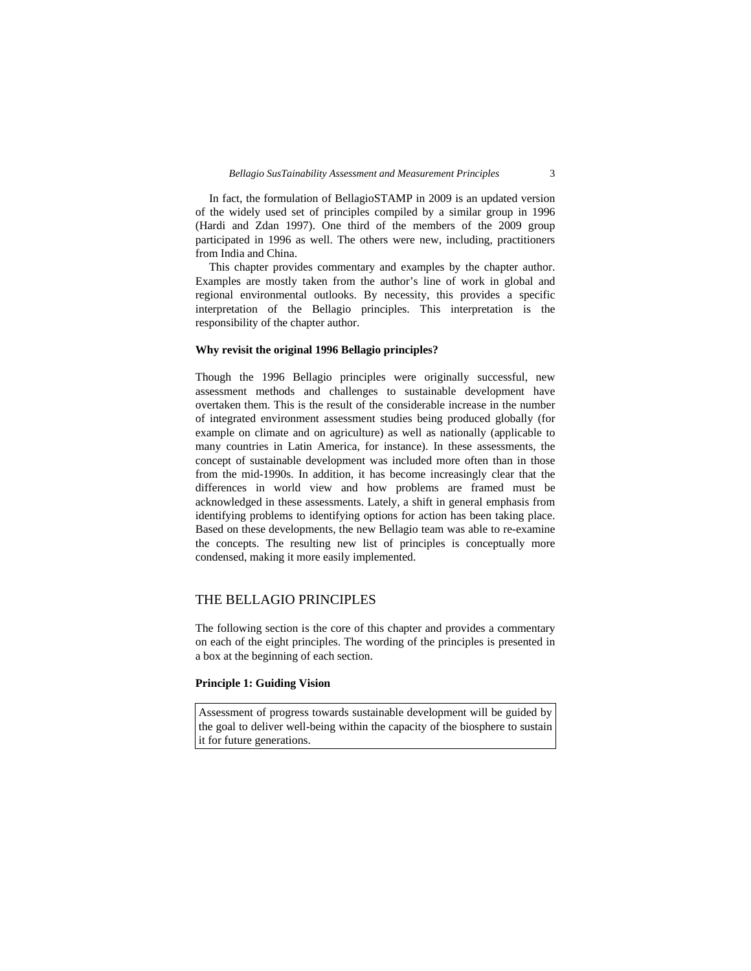In fact, the formulation of BellagioSTAMP in 2009 is an updated version of the widely used set of principles compiled by a similar group in 1996 (Hardi and Zdan 1997). One third of the members of the 2009 group participated in 1996 as well. The others were new, including, practitioners from India and China.

This chapter provides commentary and examples by the chapter author. Examples are mostly taken from the author's line of work in global and regional environmental outlooks. By necessity, this provides a specific interpretation of the Bellagio principles. This interpretation is the responsibility of the chapter author.

## **Why revisit the original 1996 Bellagio principles?**

Though the 1996 Bellagio principles were originally successful, new assessment methods and challenges to sustainable development have overtaken them. This is the result of the considerable increase in the number of integrated environment assessment studies being produced globally (for example on climate and on agriculture) as well as nationally (applicable to many countries in Latin America, for instance). In these assessments, the concept of sustainable development was included more often than in those from the mid-1990s. In addition, it has become increasingly clear that the differences in world view and how problems are framed must be acknowledged in these assessments. Lately, a shift in general emphasis from identifying problems to identifying options for action has been taking place. Based on these developments, the new Bellagio team was able to re-examine the concepts. The resulting new list of principles is conceptually more condensed, making it more easily implemented.

# THE BELLAGIO PRINCIPLES

The following section is the core of this chapter and provides a commentary on each of the eight principles. The wording of the principles is presented in a box at the beginning of each section.

#### **Principle 1: Guiding Vision**

Assessment of progress towards sustainable development will be guided by the goal to deliver well-being within the capacity of the biosphere to sustain it for future generations.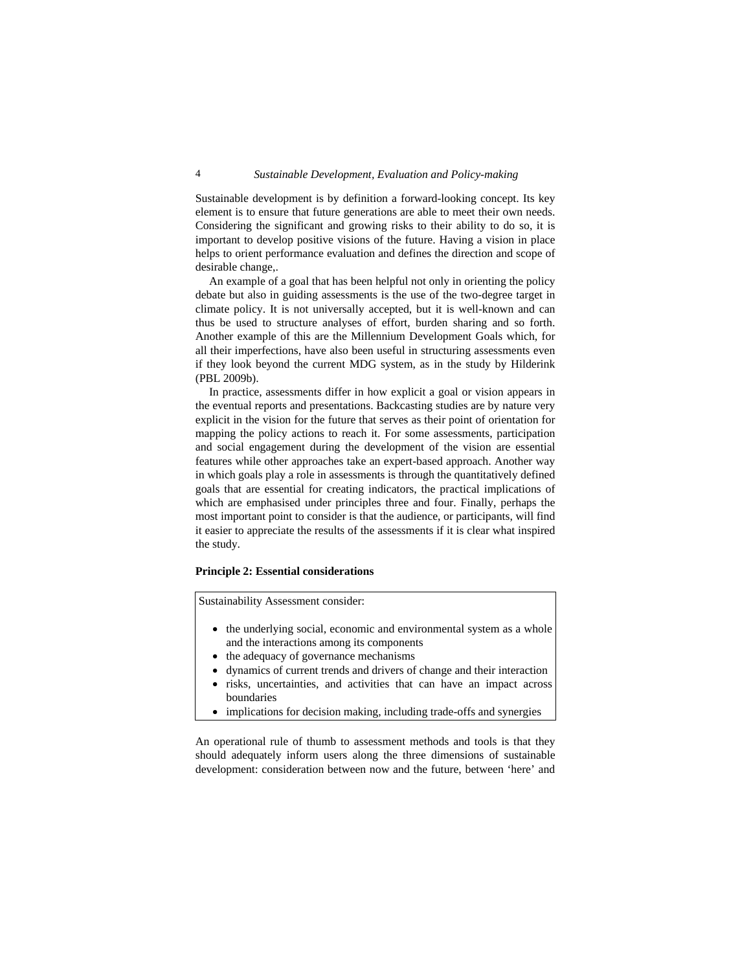Sustainable development is by definition a forward-looking concept. Its key element is to ensure that future generations are able to meet their own needs. Considering the significant and growing risks to their ability to do so, it is important to develop positive visions of the future. Having a vision in place helps to orient performance evaluation and defines the direction and scope of desirable change,.

An example of a goal that has been helpful not only in orienting the policy debate but also in guiding assessments is the use of the two-degree target in climate policy. It is not universally accepted, but it is well-known and can thus be used to structure analyses of effort, burden sharing and so forth. Another example of this are the Millennium Development Goals which, for all their imperfections, have also been useful in structuring assessments even if they look beyond the current MDG system, as in the study by Hilderink (PBL 2009b).

In practice, assessments differ in how explicit a goal or vision appears in the eventual reports and presentations. Backcasting studies are by nature very explicit in the vision for the future that serves as their point of orientation for mapping the policy actions to reach it. For some assessments, participation and social engagement during the development of the vision are essential features while other approaches take an expert-based approach. Another way in which goals play a role in assessments is through the quantitatively defined goals that are essential for creating indicators, the practical implications of which are emphasised under principles three and four. Finally, perhaps the most important point to consider is that the audience, or participants, will find it easier to appreciate the results of the assessments if it is clear what inspired the study.

## **Principle 2: Essential considerations**

Sustainability Assessment consider:

- the underlying social, economic and environmental system as a whole and the interactions among its components
- the adequacy of governance mechanisms
- dynamics of current trends and drivers of change and their interaction
- risks, uncertainties, and activities that can have an impact across boundaries
- implications for decision making, including trade-offs and synergies

An operational rule of thumb to assessment methods and tools is that they should adequately inform users along the three dimensions of sustainable development: consideration between now and the future, between 'here' and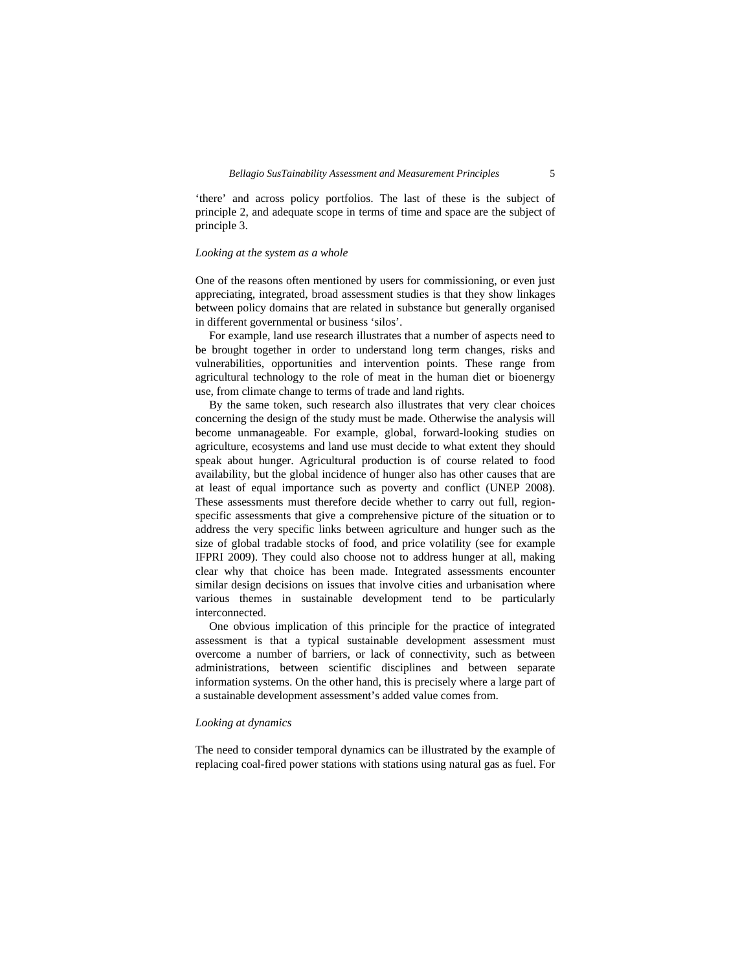'there' and across policy portfolios. The last of these is the subject of principle 2, and adequate scope in terms of time and space are the subject of principle 3.

#### *Looking at the system as a whole*

One of the reasons often mentioned by users for commissioning, or even just appreciating, integrated, broad assessment studies is that they show linkages between policy domains that are related in substance but generally organised in different governmental or business 'silos'.

For example, land use research illustrates that a number of aspects need to be brought together in order to understand long term changes, risks and vulnerabilities, opportunities and intervention points. These range from agricultural technology to the role of meat in the human diet or bioenergy use, from climate change to terms of trade and land rights.

By the same token, such research also illustrates that very clear choices concerning the design of the study must be made. Otherwise the analysis will become unmanageable. For example, global, forward-looking studies on agriculture, ecosystems and land use must decide to what extent they should speak about hunger. Agricultural production is of course related to food availability, but the global incidence of hunger also has other causes that are at least of equal importance such as poverty and conflict (UNEP 2008). These assessments must therefore decide whether to carry out full, regionspecific assessments that give a comprehensive picture of the situation or to address the very specific links between agriculture and hunger such as the size of global tradable stocks of food, and price volatility (see for example IFPRI 2009). They could also choose not to address hunger at all, making clear why that choice has been made. Integrated assessments encounter similar design decisions on issues that involve cities and urbanisation where various themes in sustainable development tend to be particularly interconnected.

One obvious implication of this principle for the practice of integrated assessment is that a typical sustainable development assessment must overcome a number of barriers, or lack of connectivity, such as between administrations, between scientific disciplines and between separate information systems. On the other hand, this is precisely where a large part of a sustainable development assessment's added value comes from.

## *Looking at dynamics*

The need to consider temporal dynamics can be illustrated by the example of replacing coal-fired power stations with stations using natural gas as fuel. For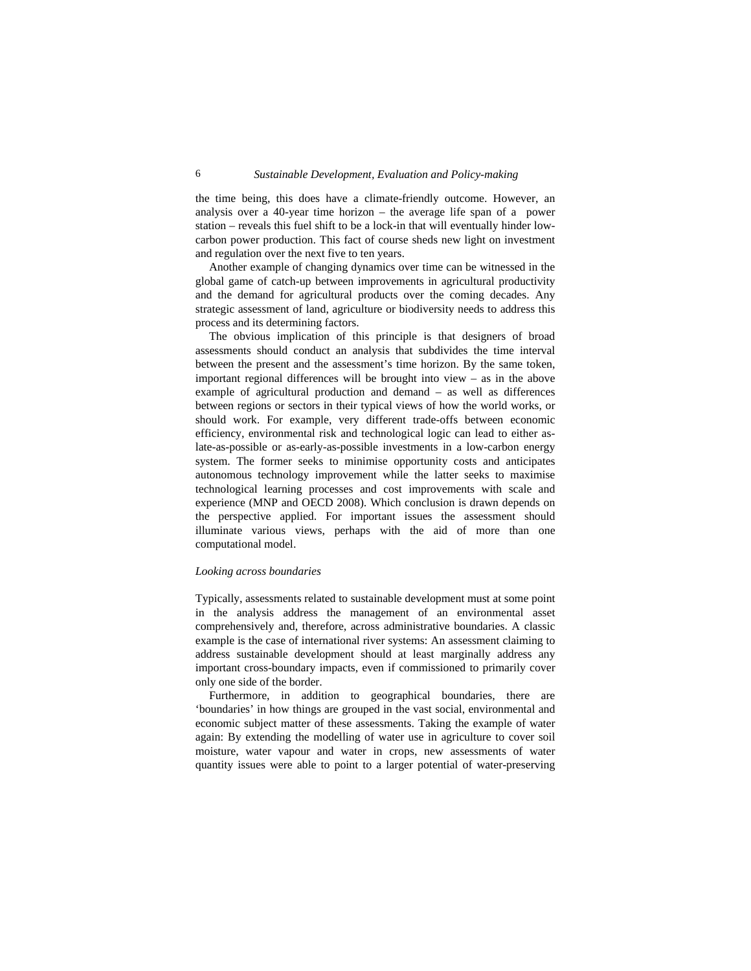the time being, this does have a climate-friendly outcome. However, an analysis over a 40-year time horizon – the average life span of a power station – reveals this fuel shift to be a lock-in that will eventually hinder lowcarbon power production. This fact of course sheds new light on investment and regulation over the next five to ten years.

Another example of changing dynamics over time can be witnessed in the global game of catch-up between improvements in agricultural productivity and the demand for agricultural products over the coming decades. Any strategic assessment of land, agriculture or biodiversity needs to address this process and its determining factors.

The obvious implication of this principle is that designers of broad assessments should conduct an analysis that subdivides the time interval between the present and the assessment's time horizon. By the same token, important regional differences will be brought into view – as in the above example of agricultural production and demand – as well as differences between regions or sectors in their typical views of how the world works, or should work. For example, very different trade-offs between economic efficiency, environmental risk and technological logic can lead to either aslate-as-possible or as-early-as-possible investments in a low-carbon energy system. The former seeks to minimise opportunity costs and anticipates autonomous technology improvement while the latter seeks to maximise technological learning processes and cost improvements with scale and experience (MNP and OECD 2008). Which conclusion is drawn depends on the perspective applied. For important issues the assessment should illuminate various views, perhaps with the aid of more than one computational model.

#### *Looking across boundaries*

Typically, assessments related to sustainable development must at some point in the analysis address the management of an environmental asset comprehensively and, therefore, across administrative boundaries. A classic example is the case of international river systems: An assessment claiming to address sustainable development should at least marginally address any important cross-boundary impacts, even if commissioned to primarily cover only one side of the border.

Furthermore, in addition to geographical boundaries, there are 'boundaries' in how things are grouped in the vast social, environmental and economic subject matter of these assessments. Taking the example of water again: By extending the modelling of water use in agriculture to cover soil moisture, water vapour and water in crops, new assessments of water quantity issues were able to point to a larger potential of water-preserving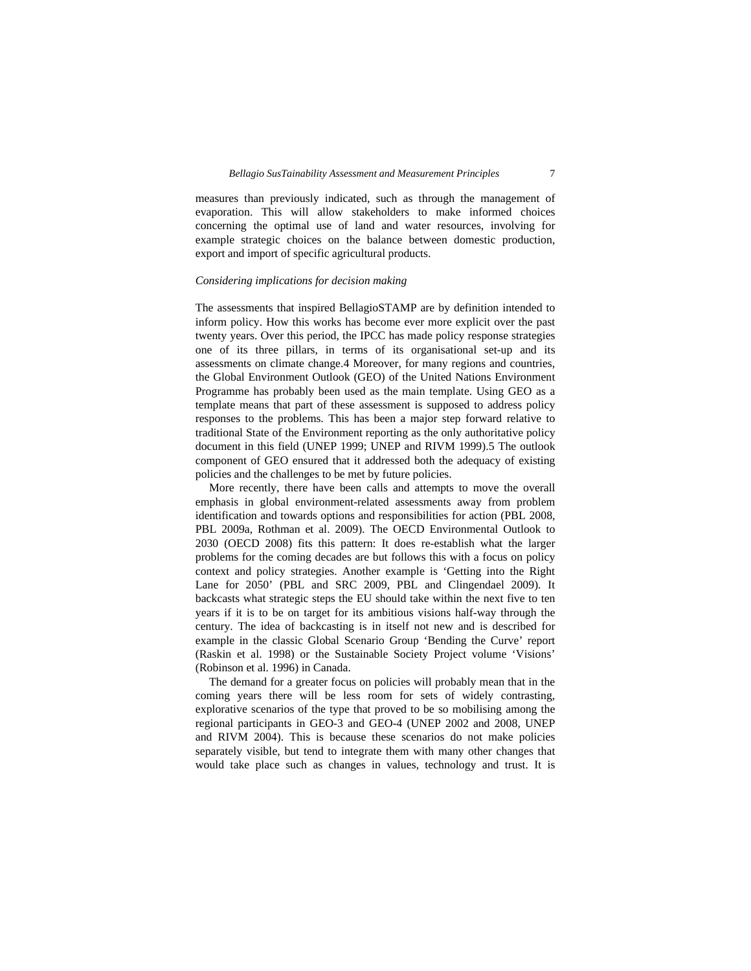measures than previously indicated, such as through the management of evaporation. This will allow stakeholders to make informed choices concerning the optimal use of land and water resources, involving for example strategic choices on the balance between domestic production, export and import of specific agricultural products.

#### *Considering implications for decision making*

The assessments that inspired BellagioSTAMP are by definition intended to inform policy. How this works has become ever more explicit over the past twenty years. Over this period, the IPCC has made policy response strategies one of its three pillars, in terms of its organisational set-up and its assessments on climate change.4 Moreover, for many regions and countries, the Global Environment Outlook (GEO) of the United Nations Environment Programme has probably been used as the main template. Using GEO as a template means that part of these assessment is supposed to address policy responses to the problems. This has been a major step forward relative to traditional State of the Environment reporting as the only authoritative policy document in this field (UNEP 1999; UNEP and RIVM 1999).5 The outlook component of GEO ensured that it addressed both the adequacy of existing policies and the challenges to be met by future policies.

More recently, there have been calls and attempts to move the overall emphasis in global environment-related assessments away from problem identification and towards options and responsibilities for action (PBL 2008, PBL 2009a, Rothman et al. 2009). The OECD Environmental Outlook to 2030 (OECD 2008) fits this pattern: It does re-establish what the larger problems for the coming decades are but follows this with a focus on policy context and policy strategies. Another example is 'Getting into the Right Lane for 2050' (PBL and SRC 2009, PBL and Clingendael 2009). It backcasts what strategic steps the EU should take within the next five to ten years if it is to be on target for its ambitious visions half-way through the century. The idea of backcasting is in itself not new and is described for example in the classic Global Scenario Group 'Bending the Curve' report (Raskin et al. 1998) or the Sustainable Society Project volume 'Visions' (Robinson et al. 1996) in Canada.

The demand for a greater focus on policies will probably mean that in the coming years there will be less room for sets of widely contrasting, explorative scenarios of the type that proved to be so mobilising among the regional participants in GEO-3 and GEO-4 (UNEP 2002 and 2008, UNEP and RIVM 2004). This is because these scenarios do not make policies separately visible, but tend to integrate them with many other changes that would take place such as changes in values, technology and trust. It is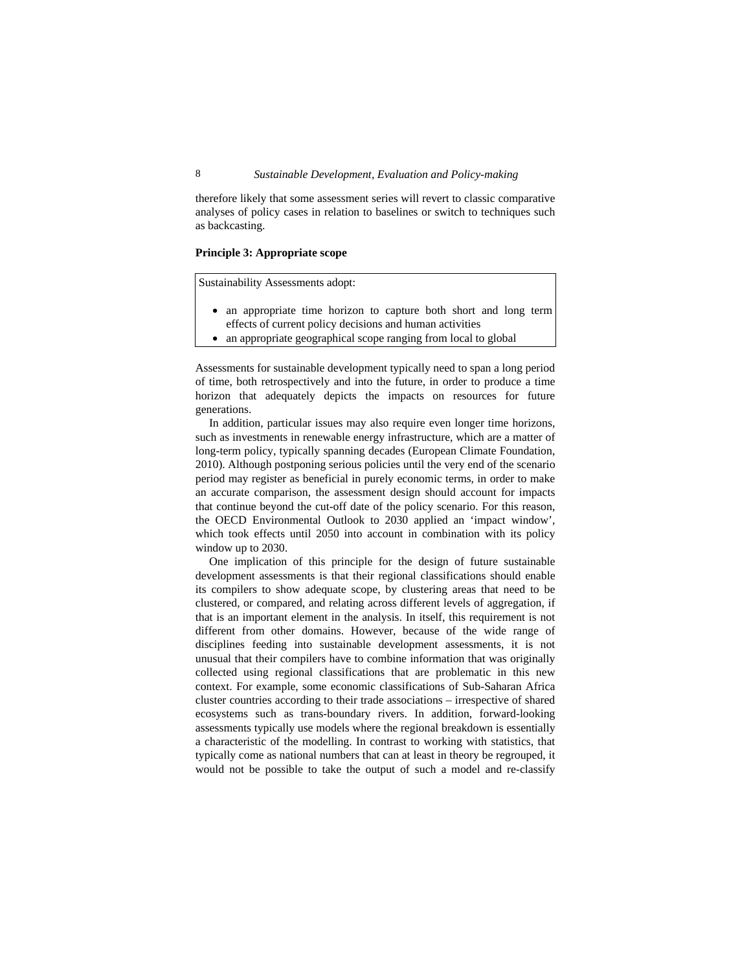therefore likely that some assessment series will revert to classic comparative analyses of policy cases in relation to baselines or switch to techniques such as backcasting.

#### **Principle 3: Appropriate scope**

Sustainability Assessments adopt:

- an appropriate time horizon to capture both short and long term effects of current policy decisions and human activities
- an appropriate geographical scope ranging from local to global

Assessments for sustainable development typically need to span a long period of time, both retrospectively and into the future, in order to produce a time horizon that adequately depicts the impacts on resources for future generations.

In addition, particular issues may also require even longer time horizons, such as investments in renewable energy infrastructure, which are a matter of long-term policy, typically spanning decades (European Climate Foundation, 2010). Although postponing serious policies until the very end of the scenario period may register as beneficial in purely economic terms, in order to make an accurate comparison, the assessment design should account for impacts that continue beyond the cut-off date of the policy scenario. For this reason, the OECD Environmental Outlook to 2030 applied an 'impact window', which took effects until 2050 into account in combination with its policy window up to 2030.

One implication of this principle for the design of future sustainable development assessments is that their regional classifications should enable its compilers to show adequate scope, by clustering areas that need to be clustered, or compared, and relating across different levels of aggregation, if that is an important element in the analysis. In itself, this requirement is not different from other domains. However, because of the wide range of disciplines feeding into sustainable development assessments, it is not unusual that their compilers have to combine information that was originally collected using regional classifications that are problematic in this new context. For example, some economic classifications of Sub-Saharan Africa cluster countries according to their trade associations – irrespective of shared ecosystems such as trans-boundary rivers. In addition, forward-looking assessments typically use models where the regional breakdown is essentially a characteristic of the modelling. In contrast to working with statistics, that typically come as national numbers that can at least in theory be regrouped, it would not be possible to take the output of such a model and re-classify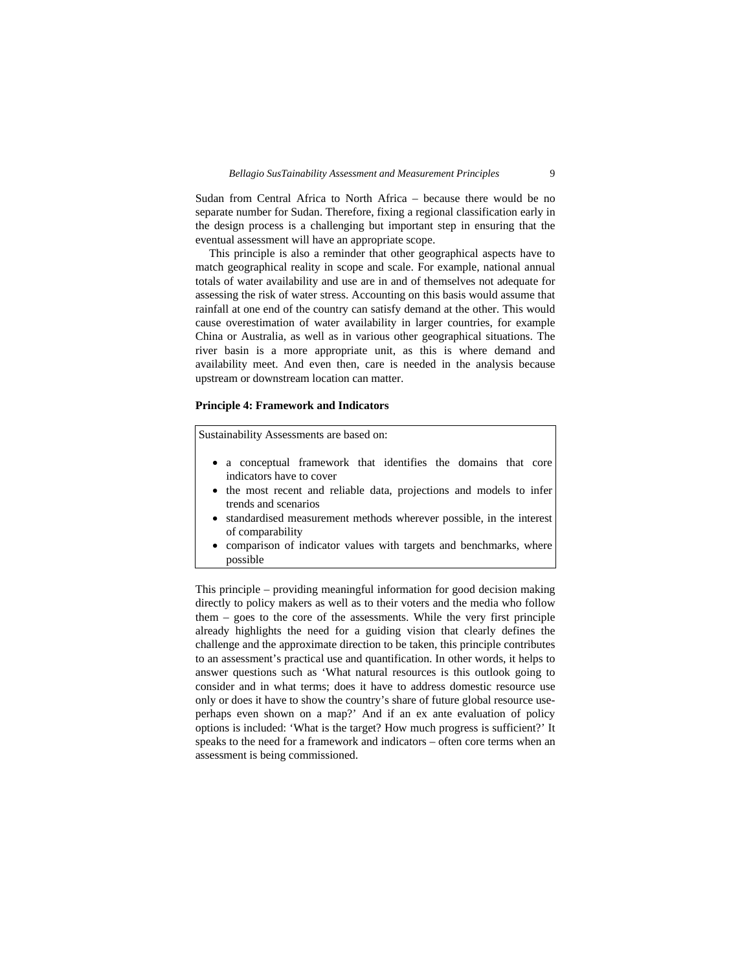Sudan from Central Africa to North Africa – because there would be no separate number for Sudan. Therefore, fixing a regional classification early in the design process is a challenging but important step in ensuring that the eventual assessment will have an appropriate scope.

This principle is also a reminder that other geographical aspects have to match geographical reality in scope and scale. For example, national annual totals of water availability and use are in and of themselves not adequate for assessing the risk of water stress. Accounting on this basis would assume that rainfall at one end of the country can satisfy demand at the other. This would cause overestimation of water availability in larger countries, for example China or Australia, as well as in various other geographical situations. The river basin is a more appropriate unit, as this is where demand and availability meet. And even then, care is needed in the analysis because upstream or downstream location can matter.

#### **Principle 4: Framework and Indicators**

Sustainability Assessments are based on:

- a conceptual framework that identifies the domains that core indicators have to cover
- the most recent and reliable data, projections and models to infer trends and scenarios
- standardised measurement methods wherever possible, in the interest of comparability
- comparison of indicator values with targets and benchmarks, where possible

This principle – providing meaningful information for good decision making directly to policy makers as well as to their voters and the media who follow them – goes to the core of the assessments. While the very first principle already highlights the need for a guiding vision that clearly defines the challenge and the approximate direction to be taken, this principle contributes to an assessment's practical use and quantification. In other words, it helps to answer questions such as 'What natural resources is this outlook going to consider and in what terms; does it have to address domestic resource use only or does it have to show the country's share of future global resource useperhaps even shown on a map?' And if an ex ante evaluation of policy options is included: 'What is the target? How much progress is sufficient?' It speaks to the need for a framework and indicators – often core terms when an assessment is being commissioned.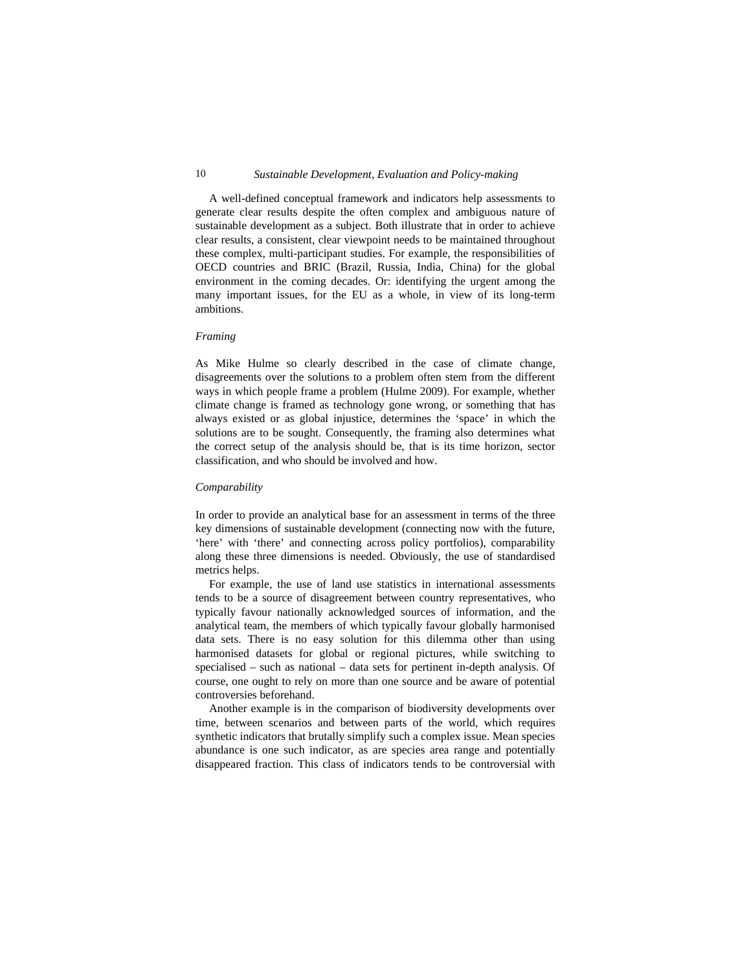A well-defined conceptual framework and indicators help assessments to generate clear results despite the often complex and ambiguous nature of sustainable development as a subject. Both illustrate that in order to achieve clear results, a consistent, clear viewpoint needs to be maintained throughout these complex, multi-participant studies. For example, the responsibilities of OECD countries and BRIC (Brazil, Russia, India, China) for the global environment in the coming decades. Or: identifying the urgent among the many important issues, for the EU as a whole, in view of its long-term ambitions.

#### *Framing*

As Mike Hulme so clearly described in the case of climate change, disagreements over the solutions to a problem often stem from the different ways in which people frame a problem (Hulme 2009). For example, whether climate change is framed as technology gone wrong, or something that has always existed or as global injustice, determines the 'space' in which the solutions are to be sought. Consequently, the framing also determines what the correct setup of the analysis should be, that is its time horizon, sector classification, and who should be involved and how.

#### *Comparability*

In order to provide an analytical base for an assessment in terms of the three key dimensions of sustainable development (connecting now with the future, 'here' with 'there' and connecting across policy portfolios), comparability along these three dimensions is needed. Obviously, the use of standardised metrics helps.

For example, the use of land use statistics in international assessments tends to be a source of disagreement between country representatives, who typically favour nationally acknowledged sources of information, and the analytical team, the members of which typically favour globally harmonised data sets. There is no easy solution for this dilemma other than using harmonised datasets for global or regional pictures, while switching to specialised – such as national – data sets for pertinent in-depth analysis. Of course, one ought to rely on more than one source and be aware of potential controversies beforehand.

Another example is in the comparison of biodiversity developments over time, between scenarios and between parts of the world, which requires synthetic indicators that brutally simplify such a complex issue. Mean species abundance is one such indicator, as are species area range and potentially disappeared fraction. This class of indicators tends to be controversial with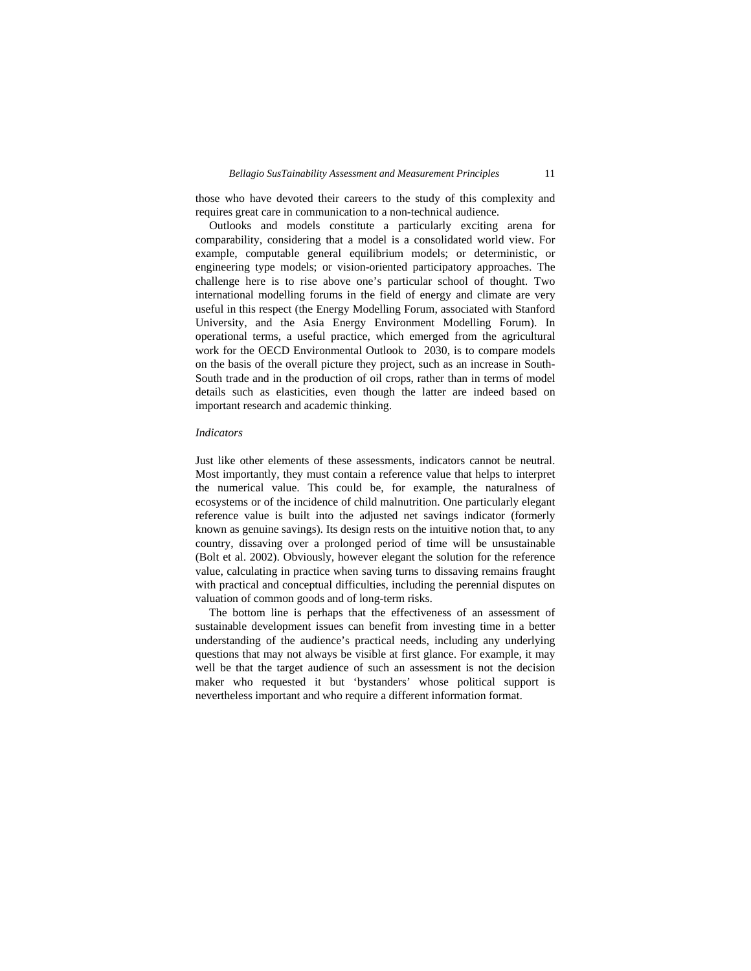those who have devoted their careers to the study of this complexity and requires great care in communication to a non-technical audience.

Outlooks and models constitute a particularly exciting arena for comparability, considering that a model is a consolidated world view. For example, computable general equilibrium models; or deterministic, or engineering type models; or vision-oriented participatory approaches. The challenge here is to rise above one's particular school of thought. Two international modelling forums in the field of energy and climate are very useful in this respect (the Energy Modelling Forum, associated with Stanford University, and the Asia Energy Environment Modelling Forum). In operational terms, a useful practice, which emerged from the agricultural work for the OECD Environmental Outlook to 2030, is to compare models on the basis of the overall picture they project, such as an increase in South-South trade and in the production of oil crops, rather than in terms of model details such as elasticities, even though the latter are indeed based on important research and academic thinking.

#### *Indicators*

Just like other elements of these assessments, indicators cannot be neutral. Most importantly, they must contain a reference value that helps to interpret the numerical value. This could be, for example, the naturalness of ecosystems or of the incidence of child malnutrition. One particularly elegant reference value is built into the adjusted net savings indicator (formerly known as genuine savings). Its design rests on the intuitive notion that, to any country, dissaving over a prolonged period of time will be unsustainable (Bolt et al. 2002). Obviously, however elegant the solution for the reference value, calculating in practice when saving turns to dissaving remains fraught with practical and conceptual difficulties, including the perennial disputes on valuation of common goods and of long-term risks.

The bottom line is perhaps that the effectiveness of an assessment of sustainable development issues can benefit from investing time in a better understanding of the audience's practical needs, including any underlying questions that may not always be visible at first glance. For example, it may well be that the target audience of such an assessment is not the decision maker who requested it but 'bystanders' whose political support is nevertheless important and who require a different information format.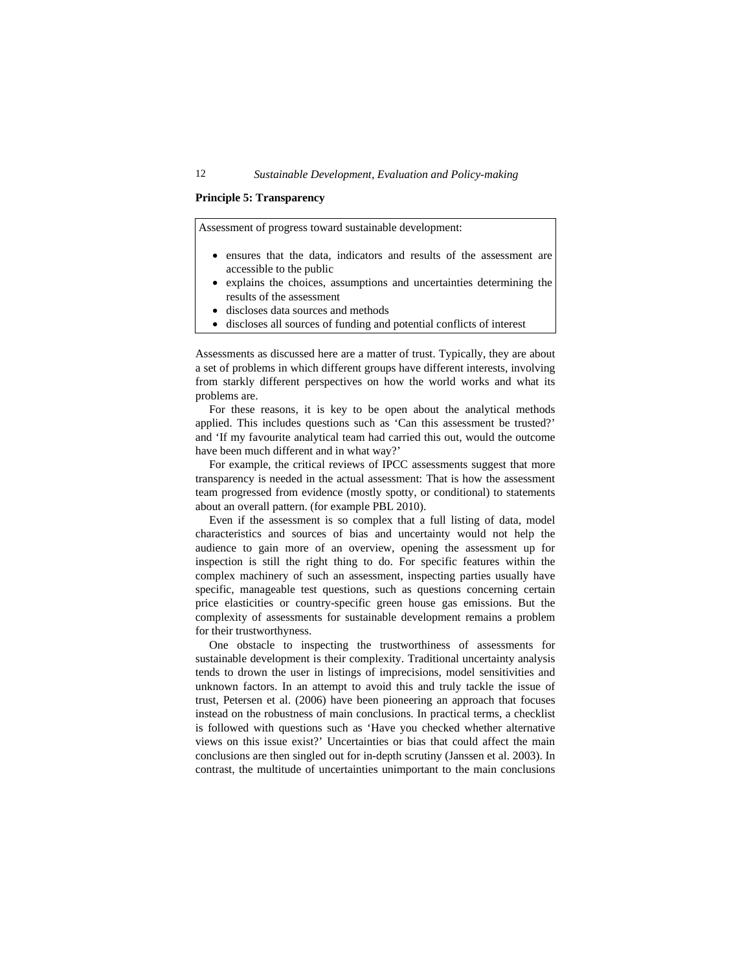## **Principle 5: Transparency**

Assessment of progress toward sustainable development:

- ensures that the data, indicators and results of the assessment are accessible to the public
- explains the choices, assumptions and uncertainties determining the results of the assessment
- discloses data sources and methods
- discloses all sources of funding and potential conflicts of interest

Assessments as discussed here are a matter of trust. Typically, they are about a set of problems in which different groups have different interests, involving from starkly different perspectives on how the world works and what its problems are.

For these reasons, it is key to be open about the analytical methods applied. This includes questions such as 'Can this assessment be trusted?' and 'If my favourite analytical team had carried this out, would the outcome have been much different and in what way?'

For example, the critical reviews of IPCC assessments suggest that more transparency is needed in the actual assessment: That is how the assessment team progressed from evidence (mostly spotty, or conditional) to statements about an overall pattern. (for example PBL 2010).

Even if the assessment is so complex that a full listing of data, model characteristics and sources of bias and uncertainty would not help the audience to gain more of an overview, opening the assessment up for inspection is still the right thing to do. For specific features within the complex machinery of such an assessment, inspecting parties usually have specific, manageable test questions, such as questions concerning certain price elasticities or country-specific green house gas emissions. But the complexity of assessments for sustainable development remains a problem for their trustworthyness.

One obstacle to inspecting the trustworthiness of assessments for sustainable development is their complexity. Traditional uncertainty analysis tends to drown the user in listings of imprecisions, model sensitivities and unknown factors. In an attempt to avoid this and truly tackle the issue of trust, Petersen et al. (2006) have been pioneering an approach that focuses instead on the robustness of main conclusions. In practical terms, a checklist is followed with questions such as 'Have you checked whether alternative views on this issue exist?' Uncertainties or bias that could affect the main conclusions are then singled out for in-depth scrutiny (Janssen et al. 2003). In contrast, the multitude of uncertainties unimportant to the main conclusions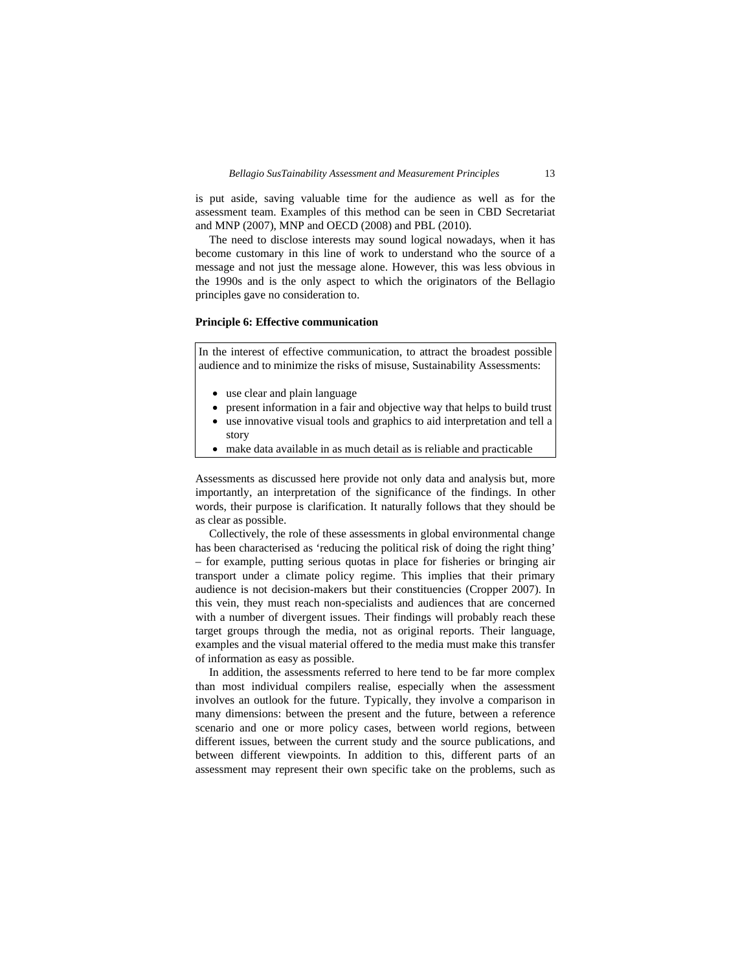is put aside, saving valuable time for the audience as well as for the assessment team. Examples of this method can be seen in CBD Secretariat and MNP (2007), MNP and OECD (2008) and PBL (2010).

The need to disclose interests may sound logical nowadays, when it has become customary in this line of work to understand who the source of a message and not just the message alone. However, this was less obvious in the 1990s and is the only aspect to which the originators of the Bellagio principles gave no consideration to.

## **Principle 6: Effective communication**

In the interest of effective communication, to attract the broadest possible audience and to minimize the risks of misuse, Sustainability Assessments:

- use clear and plain language
- present information in a fair and objective way that helps to build trust
- use innovative visual tools and graphics to aid interpretation and tell a story
- make data available in as much detail as is reliable and practicable

Assessments as discussed here provide not only data and analysis but, more importantly, an interpretation of the significance of the findings. In other words, their purpose is clarification. It naturally follows that they should be as clear as possible.

Collectively, the role of these assessments in global environmental change has been characterised as 'reducing the political risk of doing the right thing' – for example, putting serious quotas in place for fisheries or bringing air transport under a climate policy regime. This implies that their primary audience is not decision-makers but their constituencies (Cropper 2007). In this vein, they must reach non-specialists and audiences that are concerned with a number of divergent issues. Their findings will probably reach these target groups through the media, not as original reports. Their language, examples and the visual material offered to the media must make this transfer of information as easy as possible.

In addition, the assessments referred to here tend to be far more complex than most individual compilers realise, especially when the assessment involves an outlook for the future. Typically, they involve a comparison in many dimensions: between the present and the future, between a reference scenario and one or more policy cases, between world regions, between different issues, between the current study and the source publications, and between different viewpoints. In addition to this, different parts of an assessment may represent their own specific take on the problems, such as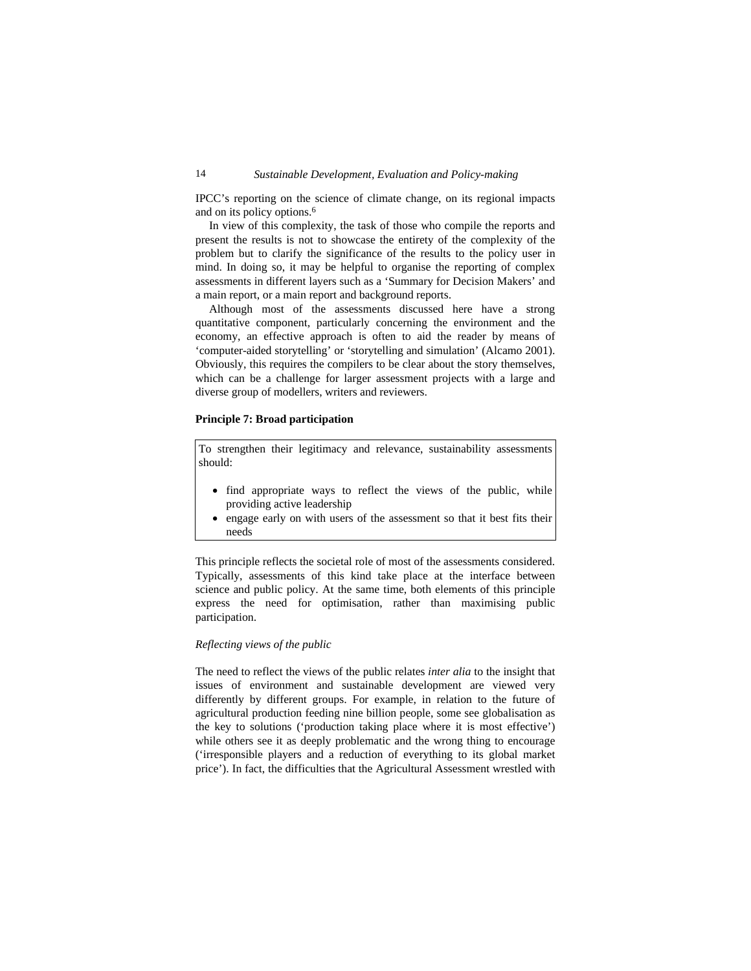IPCC's reporting on the science of climate change, on its regional impacts and on its policy options.6

In view of this complexity, the task of those who compile the reports and present the results is not to showcase the entirety of the complexity of the problem but to clarify the significance of the results to the policy user in mind. In doing so, it may be helpful to organise the reporting of complex assessments in different layers such as a 'Summary for Decision Makers' and a main report, or a main report and background reports.

Although most of the assessments discussed here have a strong quantitative component, particularly concerning the environment and the economy, an effective approach is often to aid the reader by means of 'computer-aided storytelling' or 'storytelling and simulation' (Alcamo 2001). Obviously, this requires the compilers to be clear about the story themselves, which can be a challenge for larger assessment projects with a large and diverse group of modellers, writers and reviewers.

#### **Principle 7: Broad participation**

To strengthen their legitimacy and relevance, sustainability assessments should:

- find appropriate ways to reflect the views of the public, while providing active leadership
- engage early on with users of the assessment so that it best fits their needs

This principle reflects the societal role of most of the assessments considered. Typically, assessments of this kind take place at the interface between science and public policy. At the same time, both elements of this principle express the need for optimisation, rather than maximising public participation.

## *Reflecting views of the public*

The need to reflect the views of the public relates *inter alia* to the insight that issues of environment and sustainable development are viewed very differently by different groups. For example, in relation to the future of agricultural production feeding nine billion people, some see globalisation as the key to solutions ('production taking place where it is most effective') while others see it as deeply problematic and the wrong thing to encourage ('irresponsible players and a reduction of everything to its global market price'). In fact, the difficulties that the Agricultural Assessment wrestled with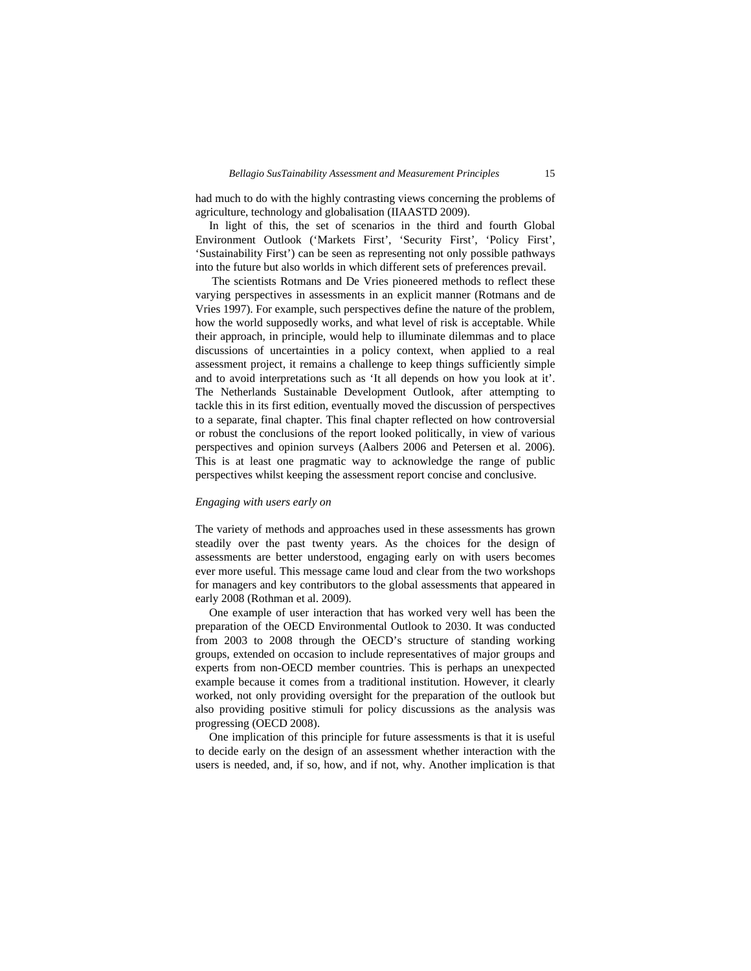had much to do with the highly contrasting views concerning the problems of agriculture, technology and globalisation (IIAASTD 2009).

In light of this, the set of scenarios in the third and fourth Global Environment Outlook ('Markets First', 'Security First', 'Policy First', 'Sustainability First') can be seen as representing not only possible pathways into the future but also worlds in which different sets of preferences prevail.

 The scientists Rotmans and De Vries pioneered methods to reflect these varying perspectives in assessments in an explicit manner (Rotmans and de Vries 1997). For example, such perspectives define the nature of the problem, how the world supposedly works, and what level of risk is acceptable. While their approach, in principle, would help to illuminate dilemmas and to place discussions of uncertainties in a policy context, when applied to a real assessment project, it remains a challenge to keep things sufficiently simple and to avoid interpretations such as 'It all depends on how you look at it'. The Netherlands Sustainable Development Outlook, after attempting to tackle this in its first edition, eventually moved the discussion of perspectives to a separate, final chapter. This final chapter reflected on how controversial or robust the conclusions of the report looked politically, in view of various perspectives and opinion surveys (Aalbers 2006 and Petersen et al. 2006). This is at least one pragmatic way to acknowledge the range of public perspectives whilst keeping the assessment report concise and conclusive.

#### *Engaging with users early on*

The variety of methods and approaches used in these assessments has grown steadily over the past twenty years. As the choices for the design of assessments are better understood, engaging early on with users becomes ever more useful. This message came loud and clear from the two workshops for managers and key contributors to the global assessments that appeared in early 2008 (Rothman et al. 2009).

One example of user interaction that has worked very well has been the preparation of the OECD Environmental Outlook to 2030. It was conducted from 2003 to 2008 through the OECD's structure of standing working groups, extended on occasion to include representatives of major groups and experts from non-OECD member countries. This is perhaps an unexpected example because it comes from a traditional institution. However, it clearly worked, not only providing oversight for the preparation of the outlook but also providing positive stimuli for policy discussions as the analysis was progressing (OECD 2008).

One implication of this principle for future assessments is that it is useful to decide early on the design of an assessment whether interaction with the users is needed, and, if so, how, and if not, why. Another implication is that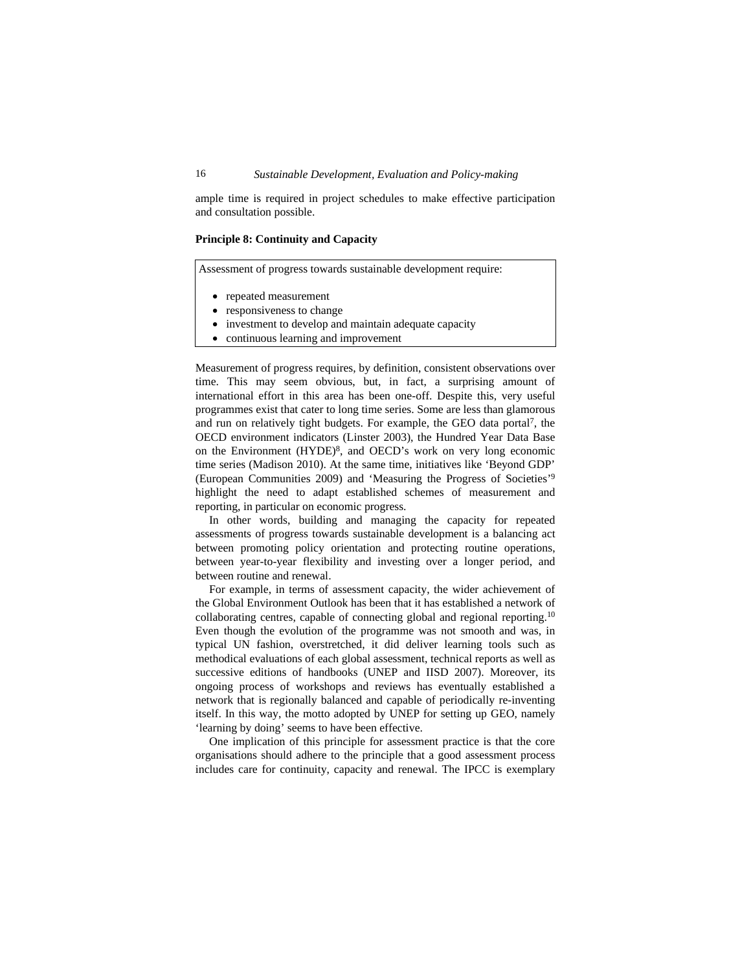ample time is required in project schedules to make effective participation and consultation possible.

#### **Principle 8: Continuity and Capacity**

Assessment of progress towards sustainable development require:

- repeated measurement
- responsiveness to change
- investment to develop and maintain adequate capacity
- continuous learning and improvement

Measurement of progress requires, by definition, consistent observations over time. This may seem obvious, but, in fact, a surprising amount of international effort in this area has been one-off. Despite this, very useful programmes exist that cater to long time series. Some are less than glamorous and run on relatively tight budgets. For example, the GEO data portal7, the OECD environment indicators (Linster 2003), the Hundred Year Data Base on the Environment (HYDE)<sup>8</sup>, and OECD's work on very long economic time series (Madison 2010). At the same time, initiatives like 'Beyond GDP' (European Communities 2009) and 'Measuring the Progress of Societies'9 highlight the need to adapt established schemes of measurement and reporting, in particular on economic progress.

In other words, building and managing the capacity for repeated assessments of progress towards sustainable development is a balancing act between promoting policy orientation and protecting routine operations, between year-to-year flexibility and investing over a longer period, and between routine and renewal.

For example, in terms of assessment capacity, the wider achievement of the Global Environment Outlook has been that it has established a network of collaborating centres, capable of connecting global and regional reporting.10 Even though the evolution of the programme was not smooth and was, in typical UN fashion, overstretched, it did deliver learning tools such as methodical evaluations of each global assessment, technical reports as well as successive editions of handbooks (UNEP and IISD 2007). Moreover, its ongoing process of workshops and reviews has eventually established a network that is regionally balanced and capable of periodically re-inventing itself. In this way, the motto adopted by UNEP for setting up GEO, namely 'learning by doing' seems to have been effective.

One implication of this principle for assessment practice is that the core organisations should adhere to the principle that a good assessment process includes care for continuity, capacity and renewal. The IPCC is exemplary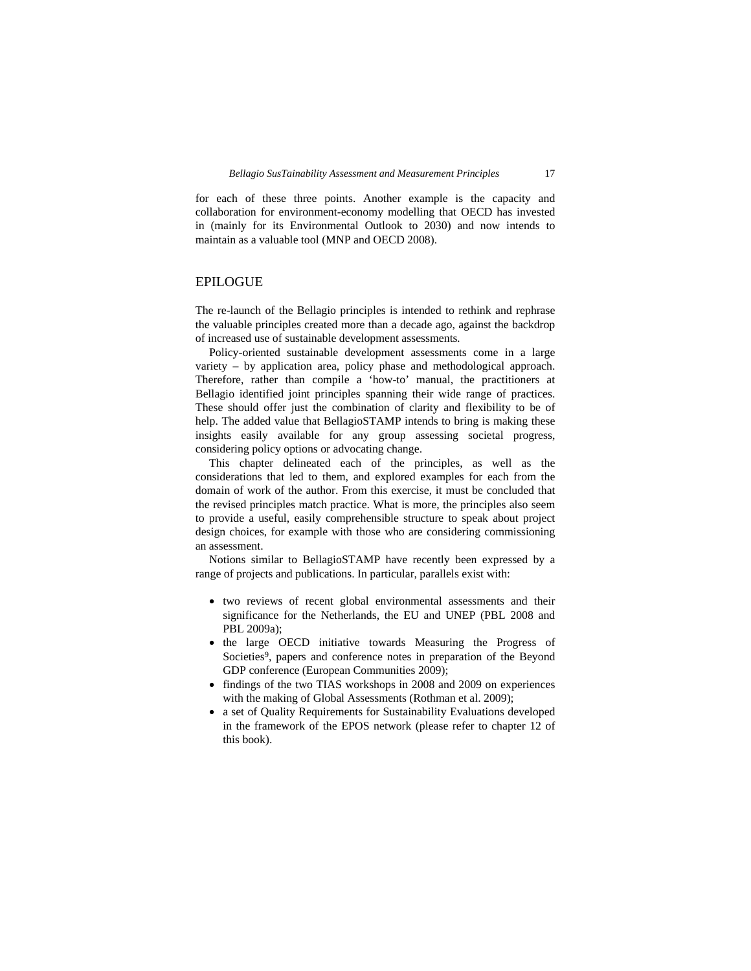for each of these three points. Another example is the capacity and collaboration for environment-economy modelling that OECD has invested in (mainly for its Environmental Outlook to 2030) and now intends to maintain as a valuable tool (MNP and OECD 2008).

## EPILOGUE

The re-launch of the Bellagio principles is intended to rethink and rephrase the valuable principles created more than a decade ago, against the backdrop of increased use of sustainable development assessments*.*

Policy-oriented sustainable development assessments come in a large variety – by application area, policy phase and methodological approach. Therefore, rather than compile a 'how-to' manual, the practitioners at Bellagio identified joint principles spanning their wide range of practices. These should offer just the combination of clarity and flexibility to be of help. The added value that BellagioSTAMP intends to bring is making these insights easily available for any group assessing societal progress, considering policy options or advocating change.

This chapter delineated each of the principles, as well as the considerations that led to them, and explored examples for each from the domain of work of the author. From this exercise, it must be concluded that the revised principles match practice. What is more, the principles also seem to provide a useful, easily comprehensible structure to speak about project design choices, for example with those who are considering commissioning an assessment.

Notions similar to BellagioSTAMP have recently been expressed by a range of projects and publications. In particular, parallels exist with:

- two reviews of recent global environmental assessments and their significance for the Netherlands, the EU and UNEP (PBL 2008 and PBL 2009a);
- the large OECD initiative towards Measuring the Progress of Societies<sup>9</sup>, papers and conference notes in preparation of the Beyond GDP conference (European Communities 2009);
- findings of the two TIAS workshops in 2008 and 2009 on experiences with the making of Global Assessments (Rothman et al. 2009);
- a set of Quality Requirements for Sustainability Evaluations developed in the framework of the EPOS network (please refer to chapter 12 of this book).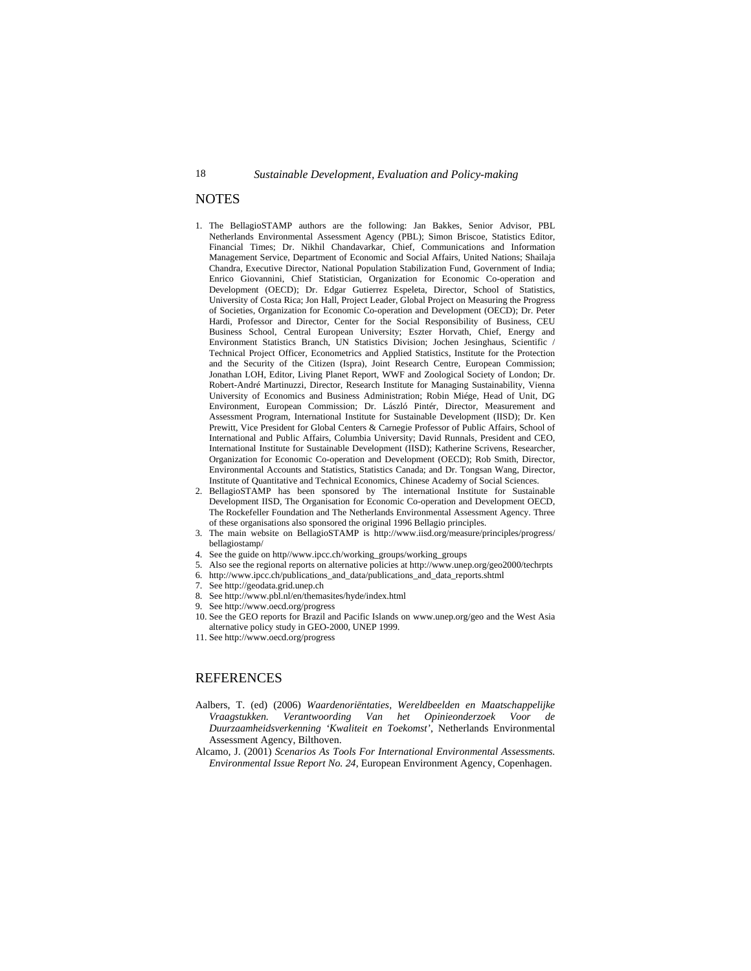### NOTES

- 1. The BellagioSTAMP authors are the following: Jan Bakkes, Senior Advisor, PBL Netherlands Environmental Assessment Agency (PBL); Simon Briscoe, Statistics Editor, Financial Times; Dr. Nikhil Chandavarkar, Chief, Communications and Information Management Service, Department of Economic and Social Affairs, United Nations; Shailaja Chandra, Executive Director, National Population Stabilization Fund, Government of India; Enrico Giovannini, Chief Statistician, Organization for Economic Co-operation and Development (OECD); Dr. Edgar Gutierrez Espeleta, Director, School of Statistics, University of Costa Rica; Jon Hall, Project Leader, Global Project on Measuring the Progress of Societies, Organization for Economic Co-operation and Development (OECD); Dr. Peter Hardi, Professor and Director, Center for the Social Responsibility of Business, CEU Business School, Central European University; Eszter Horvath, Chief, Energy and Environment Statistics Branch, UN Statistics Division; Jochen Jesinghaus, Scientific / Technical Project Officer, Econometrics and Applied Statistics, Institute for the Protection and the Security of the Citizen (Ispra), Joint Research Centre, European Commission; Jonathan LOH, Editor, Living Planet Report, WWF and Zoological Society of London; Dr. Robert-André Martinuzzi, Director, Research Institute for Managing Sustainability, Vienna University of Economics and Business Administration; Robin Miége, Head of Unit, DG Environment, European Commission; Dr. László Pintér, Director, Measurement and Assessment Program, International Institute for Sustainable Development (IISD); Dr. Ken Prewitt, Vice President for Global Centers & Carnegie Professor of Public Affairs, School of International and Public Affairs, Columbia University; David Runnals, President and CEO, International Institute for Sustainable Development (IISD); Katherine Scrivens, Researcher, Organization for Economic Co-operation and Development (OECD); Rob Smith, Director, Environmental Accounts and Statistics, Statistics Canada; and Dr. Tongsan Wang, Director, Institute of Quantitative and Technical Economics, Chinese Academy of Social Sciences.
- 2. BellagioSTAMP has been sponsored by The international Institute for Sustainable Development IISD, The Organisation for Economic Co-operation and Development OECD, The Rockefeller Foundation and The Netherlands Environmental Assessment Agency. Three of these organisations also sponsored the original 1996 Bellagio principles.
- 3. The main website on BellagioSTAMP is http://www.iisd.org/measure/principles/progress/ bellagiostamp/
- 4. See the guide on http//www.ipcc.ch/working\_groups/working\_groups
- 5. Also see the regional reports on alternative policies at http://www.unep.org/geo2000/techrpts
- 6. http://www.ipcc.ch/publications\_and\_data/publications\_and\_data\_reports.shtml
- 7. See http://geodata.grid.unep.ch<br>8. See http://www.pbl.nl/en/thema
- 8. See http://www.pbl.nl/en/themasites/hyde/index.html
- 9. See http://www.oecd.org/progress
- 10. See the GEO reports for Brazil and Pacific Islands on www.unep.org/geo and the West Asia alternative policy study in GEO-2000, UNEP 1999.
- 11. See http://www.oecd.org/progress

#### REFERENCES

- Aalbers, T. (ed) (2006) *Waardenoriëntaties, Wereldbeelden en Maatschappelijke Vraagstukken. Verantwoording Van het Opinieonderzoek Voor de Duurzaamheidsverkenning 'Kwaliteit en Toekomst'*, Netherlands Environmental Assessment Agency, Bilthoven.
- Alcamo, J. (2001) *Scenarios As Tools For International Environmental Assessments. Environmental Issue Report No. 24*, European Environment Agency, Copenhagen.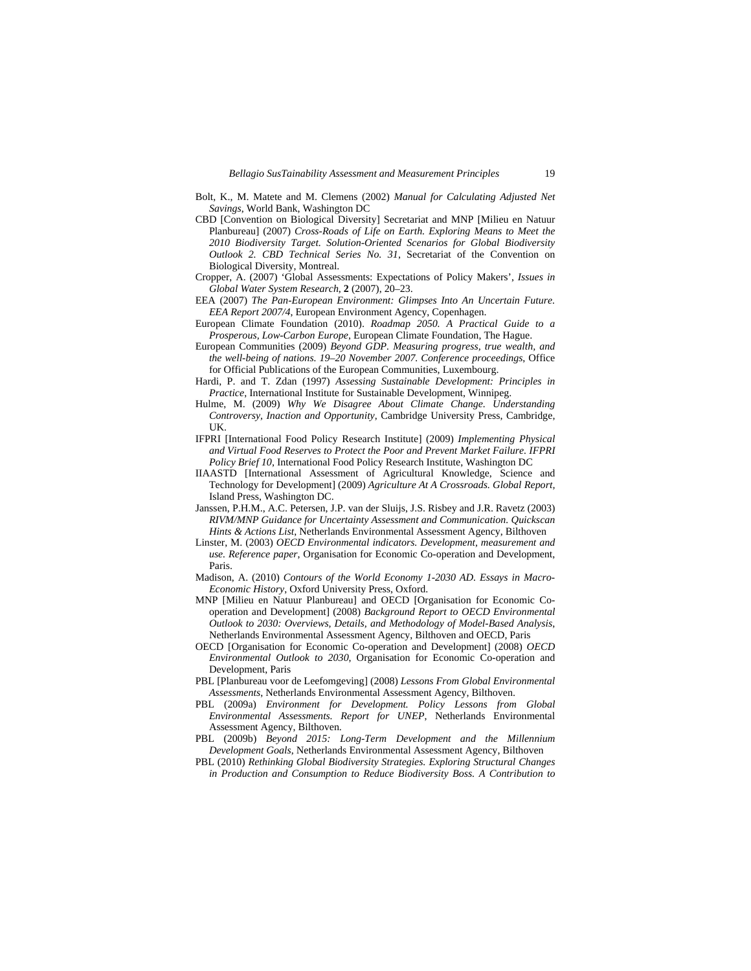- Bolt, K., M. Matete and M. Clemens (2002) *Manual for Calculating Adjusted Net Savings*, World Bank, Washington DC
- CBD [Convention on Biological Diversity] Secretariat and MNP [Milieu en Natuur Planbureau] (2007) *Cross-Roads of Life on Earth. Exploring Means to Meet the 2010 Biodiversity Target. Solution-Oriented Scenarios for Global Biodiversity Outlook 2. CBD Technical Series No. 31*, Secretariat of the Convention on Biological Diversity, Montreal.
- Cropper, A. (2007) 'Global Assessments: Expectations of Policy Makers', *Issues in Global Water System Research*, **2** (2007), 20–23.
- EEA (2007) *The Pan-European Environment: Glimpses Into An Uncertain Future. EEA Report 2007/4*, European Environment Agency, Copenhagen.
- European Climate Foundation (2010). *Roadmap 2050. A Practical Guide to a Prosperous, Low-Carbon Europe*, European Climate Foundation, The Hague.
- European Communities (2009) *Beyond GDP. Measuring progress, true wealth, and the well-being of nations. 19–20 November 2007. Conference proceedings*, Office for Official Publications of the European Communities, Luxembourg.
- Hardi, P. and T. Zdan (1997) *Assessing Sustainable Development: Principles in Practice*, International Institute for Sustainable Development, Winnipeg.
- Hulme, M. (2009) *Why We Disagree About Climate Change. Understanding Controversy, Inaction and Opportunity*, Cambridge University Press, Cambridge, UK.
- IFPRI [International Food Policy Research Institute] (2009) *Implementing Physical and Virtual Food Reserves to Protect the Poor and Prevent Market Failure. IFPRI Policy Brief 10*, International Food Policy Research Institute, Washington DC
- IIAASTD [International Assessment of Agricultural Knowledge, Science and Technology for Development] (2009) *Agriculture At A Crossroads. Global Report,*  Island Press, Washington DC.
- Janssen, P.H.M., A.C. Petersen, J.P. van der Sluijs, J.S. Risbey and J.R. Ravetz (2003) *RIVM/MNP Guidance for Uncertainty Assessment and Communication. Quickscan Hints & Actions List*, Netherlands Environmental Assessment Agency, Bilthoven
- Linster, M. (2003) *OECD Environmental indicators. Development, measurement and use. Reference paper*, Organisation for Economic Co-operation and Development, Paris.
- Madison, A. (2010) *Contours of the World Economy 1-2030 AD. Essays in Macro-Economic History*, Oxford University Press, Oxford.
- MNP [Milieu en Natuur Planbureau] and OECD [Organisation for Economic Cooperation and Development] (2008) *Background Report to OECD Environmental Outlook to 2030: Overviews, Details, and Methodology of Model-Based Analysis*, Netherlands Environmental Assessment Agency, Bilthoven and OECD, Paris
- OECD [Organisation for Economic Co-operation and Development] (2008) *OECD Environmental Outlook to 2030*, Organisation for Economic Co-operation and Development, Paris
- PBL [Planbureau voor de Leefomgeving] (2008) *Lessons From Global Environmental Assessments*, Netherlands Environmental Assessment Agency, Bilthoven.
- PBL (2009a) *Environment for Development. Policy Lessons from Global Environmental Assessments. Report for UNEP*, Netherlands Environmental Assessment Agency, Bilthoven.
- PBL (2009b) *Beyond 2015: Long-Term Development and the Millennium Development Goals*, Netherlands Environmental Assessment Agency, Bilthoven
- PBL (2010) *Rethinking Global Biodiversity Strategies. Exploring Structural Changes in Production and Consumption to Reduce Biodiversity Boss. A Contribution to*